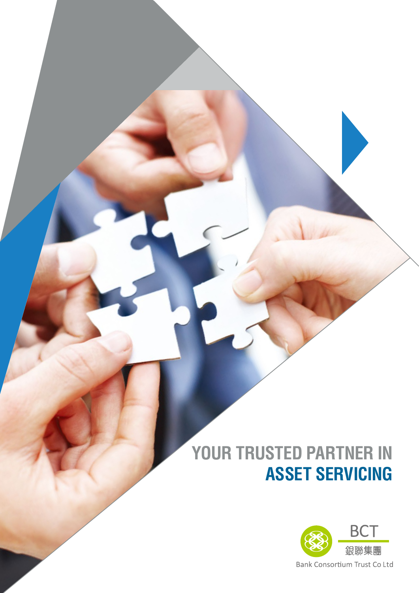## **YOUR TRUSTED PARTNER IN ASSET SERVICING**

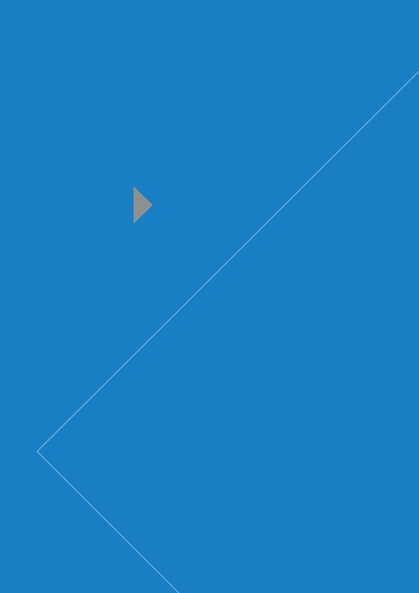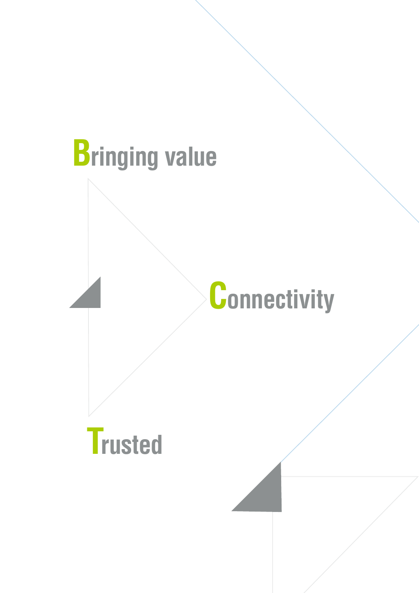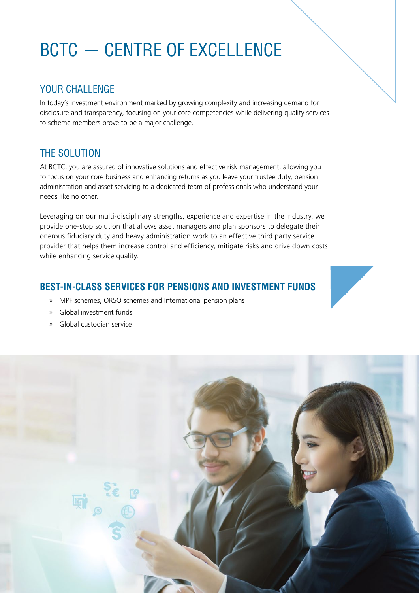## BCTC - CENTRE OF EXCELLENCE

#### YOUR CHALLENGE

In today's investment environment marked by growing complexity and increasing demand for disclosure and transparency, focusing on your core competencies while delivering quality services to scheme members prove to be a major challenge.

#### THE SOLUTION

At BCTC, you are assured of innovative solutions and effective risk management, allowing you to focus on your core business and enhancing returns as you leave your trustee duty, pension administration and asset servicing to a dedicated team of professionals who understand your needs like no other.

Leveraging on our multi-disciplinary strengths, experience and expertise in the industry, we provide one-stop solution that allows asset managers and plan sponsors to delegate their onerous fiduciary duty and heavy administration work to an effective third party service provider that helps them increase control and efficiency, mitigate risks and drive down costs while enhancing service quality.

#### **BEST-IN-CLASS SERVICES FOR PENSIONS AND INVESTMENT FUNDS**

- » MPF schemes, ORSO schemes and International pension plans
- » Global investment funds
- » Global custodian service

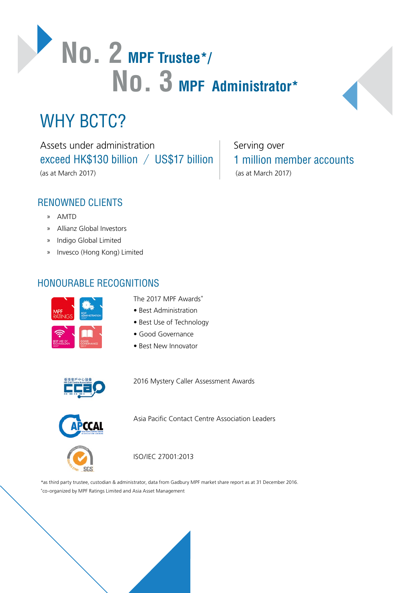# **No. 2 MPF Trustee\*/ No. 3 MPF Administrator\***



### WHY BCTC?

Assets under administration exceed HK\$130 billion / US\$17 billion (as at March 2017)

Serving over 1 million member accounts (as at March 2017)

#### RENOWNED CLIENTS

- » AMTD
- » Allianz Global Investors
- » Indigo Global Limited
- » Invesco (Hong Kong) Limited

#### HONOURABLE RECOGNITIONS



The 2017 MPF Awards<sup>+</sup>

- Best Administration
- Best Use of Technology
- Good Governance
- Best New Innovator



2016 Mystery Caller Assessment Awards



Asia Pacific Contact Centre Association Leaders

ISO/IEC 27001:2013

\*as third party trustee, custodian & administrator, data from Gadbury MPF market share report as at 31 December 2016. + co-organized by MPF Ratings Limited and Asia Asset Management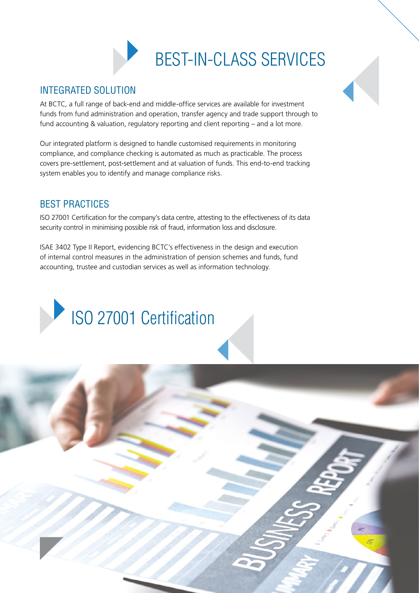

#### INTEGRATED SOLUTION

At BCTC, a full range of back-end and middle-office services are available for investment funds from fund administration and operation, transfer agency and trade support through to fund accounting & valuation, regulatory reporting and client reporting – and a lot more.

Our integrated platform is designed to handle customised requirements in monitoring compliance, and compliance checking is automated as much as practicable. The process covers pre-settlement, post-settlement and at valuation of funds. This end-to-end tracking system enables you to identify and manage compliance risks.

#### BEST PRACTICES

ISO 27001 Certification for the company's data centre, attesting to the effectiveness of its data security control in minimising possible risk of fraud, information loss and disclosure.

ISAE 3402 Type II Report, evidencing BCTC's effectiveness in the design and execution of internal control measures in the administration of pension schemes and funds, fund accounting, trustee and custodian services as well as information technology.



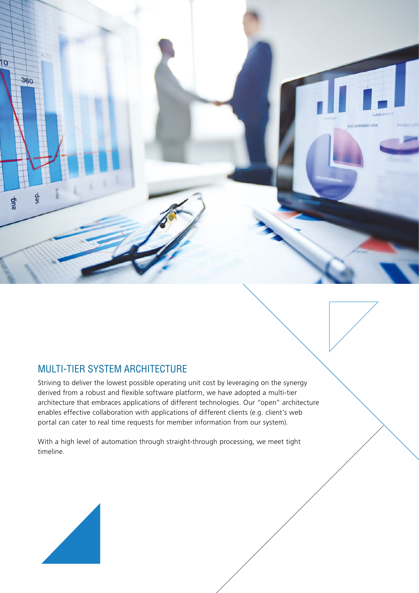

#### MULTI-TIER SYSTEM ARCHITECTURE

Striving to deliver the lowest possible operating unit cost by leveraging on the synergy derived from a robust and flexible software platform, we have adopted a multi-tier architecture that embraces applications of different technologies. Our "open" architecture enables effective collaboration with applications of different clients (e.g. client's web portal can cater to real time requests for member information from our system).

With a high level of automation through straight-through processing, we meet tight timeline.

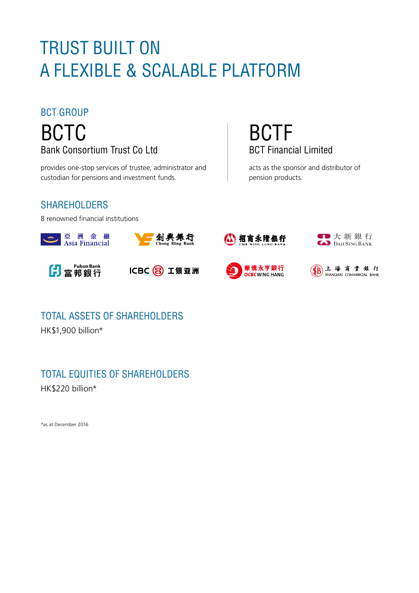## TRUST BUILT ON A FLEXIBLE & SCALABLE PLATFORM

#### BCT GROUP

**BCTC** Bank Consortium Trust Co Ltd

provides one-stop services of trustee, administrator and custodian for pensions and investment funds.

#### **SHAREHOLDERS**

8 renowned financial institutions















招商永隆銀行

**BCTF** 

pension products.

BCT Financial Limited

acts as the sponsor and distributor of



TOTAL ASSETS OF SHAREHOLDERS HK\$1,900 billion\*

#### TOTAL EQUITIES OF SHAREHOLDERS HK\$220 billion\*

\*as at December 2016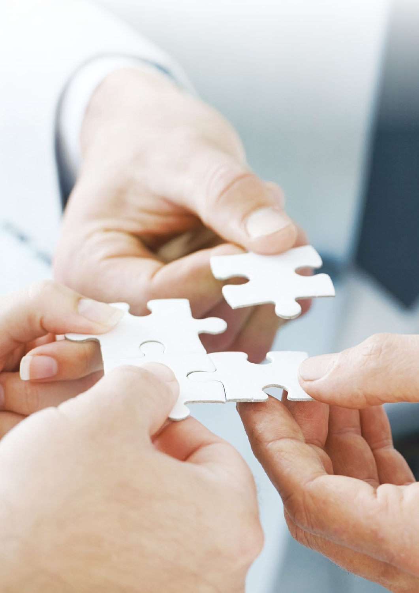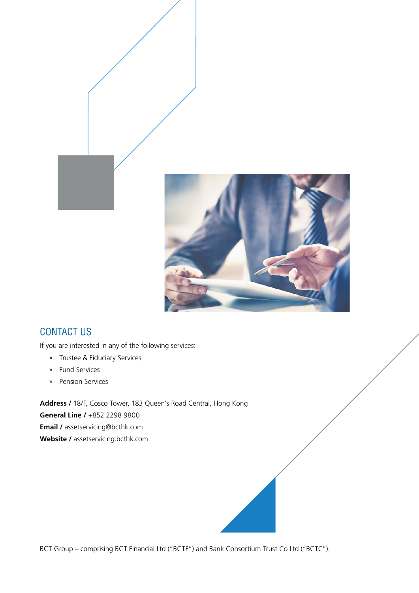

#### CONTACT US

If you are interested in any of the following services:

- » Trustee & Fiduciary Services
- » Fund Services
- » Pension Services

**Address /** 18/F, Cosco Tower, 183 Queen's Road Central, Hong Kong **General Line /** +852 2298 9800 **Email /** assetservicing@bcthk.com **Website /** assetservicing.bcthk.com

BCT Group – comprising BCT Financial Ltd ("BCTF") and Bank Consortium Trust Co Ltd ("BCTC").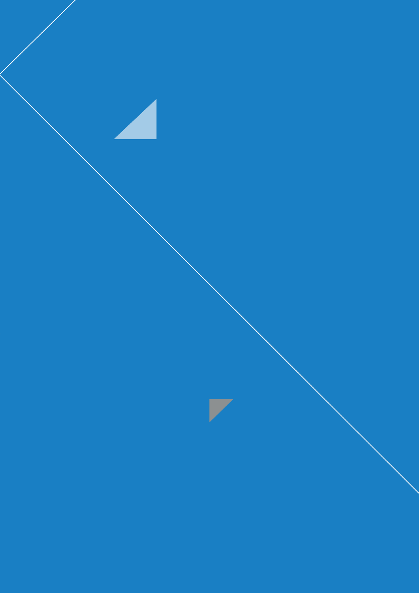